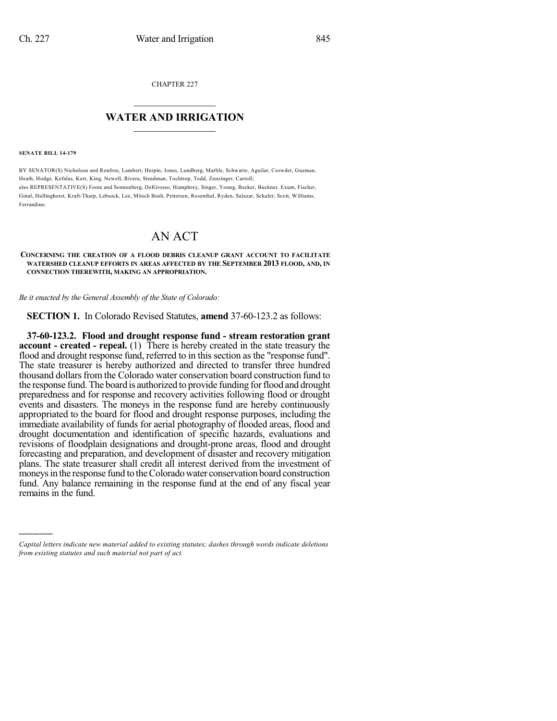CHAPTER 227

## $\overline{\phantom{a}}$  . The set of the set of the set of the set of the set of the set of the set of the set of the set of the set of the set of the set of the set of the set of the set of the set of the set of the set of the set o **WATER AND IRRIGATION**  $\_$   $\_$

**SENATE BILL 14-179**

)))))

BY SENATOR(S) Nicholson and Renfroe, Lambert, Herpin, Jones, Lundberg, Marble, Schwartz, Aguilar, Crowder, Guzman, Heath, Hodge, Kefalas, Kerr, King, Newell, Rivera, Steadman, Tochtrop, Todd, Zenzinger, Carroll; also REPRESENTATIVE(S) Foote and Sonnenberg, DelGrosso, Humphrey, Singer, Young, Becker, Buckner, Exum, Fischer, Ginal, Hullinghorst, Kraft-Tharp, Lebsock, Lee, Mitsch Bush, Pettersen, Rosenthal, Ryden, Salazar, Schafer, Scott, Williams, Ferrandino.

## AN ACT

## **CONCERNING THE CREATION OF A FLOOD DEBRIS CLEANUP GRANT ACCOUNT TO FACILITATE WATERSHED CLEANUP EFFORTS IN AREAS AFFECTED BY THE SEPTEMBER 2013 FLOOD, AND, IN CONNECTION THEREWITH, MAKING AN APPROPRIATION.**

*Be it enacted by the General Assembly of the State of Colorado:*

**SECTION 1.** In Colorado Revised Statutes, **amend** 37-60-123.2 as follows:

**37-60-123.2. Flood and drought response fund - stream restoration grant account - created - repeal.** (1) There is hereby created in the state treasury the flood and drought response fund, referred to in this section as the "response fund". The state treasurer is hereby authorized and directed to transfer three hundred thousand dollars from the Colorado water conservation board construction fund to the response fund. The board is authorized to provide funding for flood and drought preparedness and for response and recovery activities following flood or drought events and disasters. The moneys in the response fund are hereby continuously appropriated to the board for flood and drought response purposes, including the immediate availability of funds for aerial photography of flooded areas, flood and drought documentation and identification of specific hazards, evaluations and revisions of floodplain designations and drought-prone areas, flood and drought forecasting and preparation, and development of disaster and recovery mitigation plans. The state treasurer shall credit all interest derived from the investment of moneysin the response fund to theColorado water conservation board construction fund. Any balance remaining in the response fund at the end of any fiscal year remains in the fund.

*Capital letters indicate new material added to existing statutes; dashes through words indicate deletions from existing statutes and such material not part of act.*